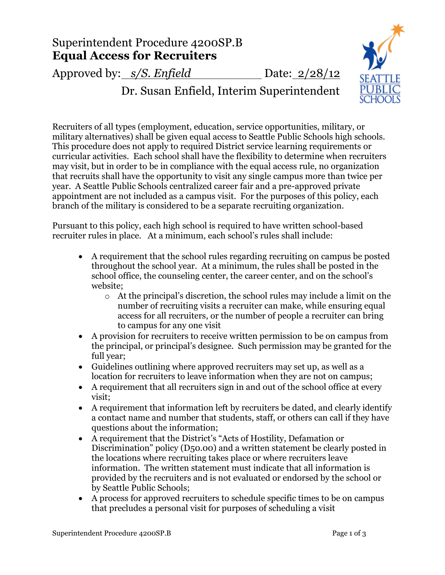## Superintendent Procedure 4200SP.B **Equal Access for Recruiters**

Approved by: *s/S. Enfield* Date: 2/28/12





Recruiters of all types (employment, education, service opportunities, military, or military alternatives) shall be given equal access to Seattle Public Schools high schools. This procedure does not apply to required District service learning requirements or curricular activities. Each school shall have the flexibility to determine when recruiters may visit, but in order to be in compliance with the equal access rule, no organization that recruits shall have the opportunity to visit any single campus more than twice per year. A Seattle Public Schools centralized career fair and a pre-approved private appointment are not included as a campus visit. For the purposes of this policy, each branch of the military is considered to be a separate recruiting organization.

Pursuant to this policy, each high school is required to have written school-based recruiter rules in place. At a minimum, each school's rules shall include:

- A requirement that the school rules regarding recruiting on campus be posted throughout the school year. At a minimum, the rules shall be posted in the school office, the counseling center, the career center, and on the school's website;
	- o At the principal's discretion, the school rules may include a limit on the number of recruiting visits a recruiter can make, while ensuring equal access for all recruiters, or the number of people a recruiter can bring to campus for any one visit
- A provision for recruiters to receive written permission to be on campus from the principal, or principal's designee. Such permission may be granted for the full year;
- Guidelines outlining where approved recruiters may set up, as well as a location for recruiters to leave information when they are not on campus;
- A requirement that all recruiters sign in and out of the school office at every visit;
- A requirement that information left by recruiters be dated, and clearly identify a contact name and number that students, staff, or others can call if they have questions about the information;
- A requirement that the District's "Acts of Hostility, Defamation or Discrimination" policy (D50.00) and a written statement be clearly posted in the locations where recruiting takes place or where recruiters leave information. The written statement must indicate that all information is provided by the recruiters and is not evaluated or endorsed by the school or by Seattle Public Schools;
- A process for approved recruiters to schedule specific times to be on campus that precludes a personal visit for purposes of scheduling a visit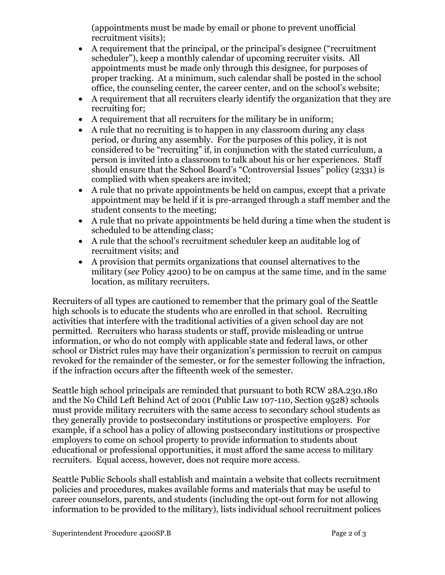(appointments must be made by email or phone to prevent unofficial recruitment visits);

- A requirement that the principal, or the principal's designee ("recruitment scheduler"), keep a monthly calendar of upcoming recruiter visits. All appointments must be made only through this designee, for purposes of proper tracking. At a minimum, such calendar shall be posted in the school office, the counseling center, the career center, and on the school's website;
- A requirement that all recruiters clearly identify the organization that they are recruiting for;
- A requirement that all recruiters for the military be in uniform;
- A rule that no recruiting is to happen in any classroom during any class period, or during any assembly. For the purposes of this policy, it is not considered to be "recruiting" if, in conjunction with the stated curriculum, a person is invited into a classroom to talk about his or her experiences. Staff should ensure that the School Board's "Controversial Issues" policy (2331) is complied with when speakers are invited;
- A rule that no private appointments be held on campus, except that a private appointment may be held if it is pre-arranged through a staff member and the student consents to the meeting;
- A rule that no private appointments be held during a time when the student is scheduled to be attending class;
- A rule that the school's recruitment scheduler keep an auditable log of recruitment visits; and
- A provision that permits organizations that counsel alternatives to the military (*see* Policy 4200) to be on campus at the same time, and in the same location, as military recruiters.

Recruiters of all types are cautioned to remember that the primary goal of the Seattle high schools is to educate the students who are enrolled in that school. Recruiting activities that interfere with the traditional activities of a given school day are not permitted. Recruiters who harass students or staff, provide misleading or untrue information, or who do not comply with applicable state and federal laws, or other school or District rules may have their organization's permission to recruit on campus revoked for the remainder of the semester, or for the semester following the infraction, if the infraction occurs after the fifteenth week of the semester.

Seattle high school principals are reminded that pursuant to both RCW 28A.230.180 and the No Child Left Behind Act of 2001 (Public Law 107-110, Section 9528) schools must provide military recruiters with the same access to secondary school students as they generally provide to postsecondary institutions or prospective employers. For example, if a school has a policy of allowing postsecondary institutions or prospective employers to come on school property to provide information to students about educational or professional opportunities, it must afford the same access to military recruiters. Equal access, however, does not require more access.

Seattle Public Schools shall establish and maintain a website that collects recruitment policies and procedures, makes available forms and materials that may be useful to career counselors, parents, and students (including the opt-out form for not allowing information to be provided to the military), lists individual school recruitment polices